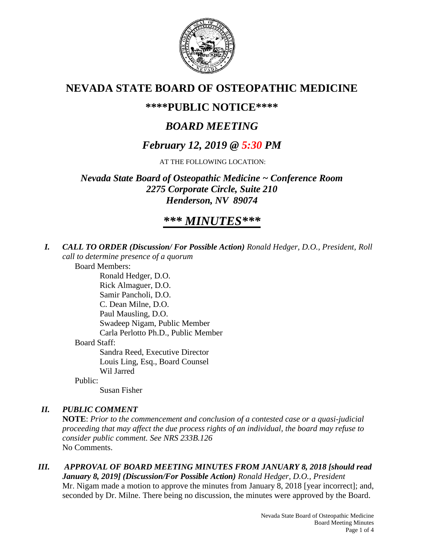

## **NEVADA STATE BOARD OF OSTEOPATHIC MEDICINE**

## **\*\*\*\*PUBLIC NOTICE\*\*\*\***

## *BOARD MEETING*

## *February 12, 2019 @ 5:30 PM*

AT THE FOLLOWING LOCATION:

*Nevada State Board of Osteopathic Medicine ~ Conference Room 2275 Corporate Circle, Suite 210 Henderson, NV 89074*

# *\*\*\* MINUTES\*\*\**

*I. CALL TO ORDER (Discussion/ For Possible Action) Ronald Hedger, D.O., President, Roll call to determine presence of a quorum*

Board Members:

Ronald Hedger, D.O. Rick Almaguer, D.O. Samir Pancholi, D.O. C. Dean Milne, D.O. Paul Mausling, D.O. Swadeep Nigam, Public Member Carla Perlotto Ph.D., Public Member Board Staff: Sandra Reed, Executive Director Louis Ling, Esq., Board Counsel Wil Jarred

Public:

Susan Fisher

### *II. PUBLIC COMMENT*

**NOTE**: *Prior to the commencement and conclusion of a contested case or a quasi-judicial proceeding that may affect the due process rights of an individual, the board may refuse to consider public comment. See NRS 233B.126* No Comments.

*III. APPROVAL OF BOARD MEETING MINUTES FROM JANUARY 8, 2018 [should read January 8, 2019] (Discussion/For Possible Action) Ronald Hedger, D.O., President* Mr. Nigam made a motion to approve the minutes from January 8, 2018 [year incorrect]; and, seconded by Dr. Milne. There being no discussion, the minutes were approved by the Board.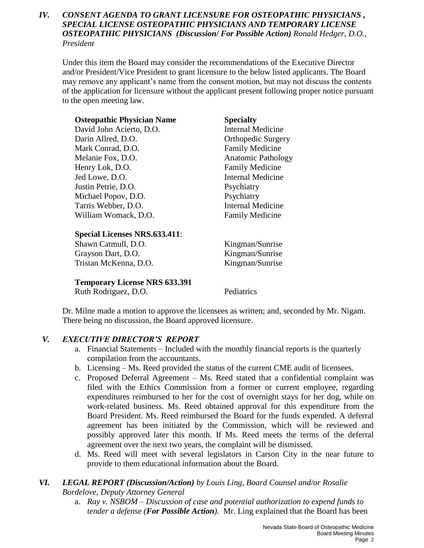### *IV. CONSENT AGENDA TO GRANT LICENSURE FOR OSTEOPATHIC PHYSICIANS , SPECIAL LICENSE OSTEOPATHIC PHYSICIANS AND TEMPORARY LICENSE OSTEOPATHIC PHYSICIANS (Discussion/ For Possible Action) Ronald Hedger, D.O., President*

Under this item the Board may consider the recommendations of the Executive Director and/or President/Vice President to grant licensure to the below listed applicants. The Board may remove any applicant's name from the consent motion, but may not discuss the contents of the application for licensure without the applicant present following proper notice pursuant to the open meeting law.

| <b>Osteopathic Physician Name</b>    | <b>Specialty</b>          |
|--------------------------------------|---------------------------|
| David John Acierto, D.O.             | <b>Internal Medicine</b>  |
| Darin Allred, D.O.                   | <b>Orthopedic Surgery</b> |
| Mark Conrad, D.O.                    | <b>Family Medicine</b>    |
| Melanie Fox, D.O.                    | <b>Anatomic Pathology</b> |
| Henry Lok, D.O.                      | <b>Family Medicine</b>    |
| Jed Lowe, D.O.                       | <b>Internal Medicine</b>  |
| Justin Petrie, D.O.                  | Psychiatry                |
| Michael Popov, D.O.                  | Psychiatry                |
| Tarris Webber, D.O.                  | <b>Internal Medicine</b>  |
| William Womack, D.O.                 | <b>Family Medicine</b>    |
|                                      |                           |
| <b>Special Licenses NRS.633.411:</b> |                           |
| Shawn Catmull, D.O.                  | Kingman/Sunrise           |

Grayson Dart, D.O. Kingman/Sunrise Tristan McKenna, D.O. Kingman/Sunrise

**Temporary License NRS 633.391**

Ruth Rodriguez, D.O. Pediatrics

Dr. Milne made a motion to approve the licensees as written; and, seconded by Mr. Nigam. There being no discussion, the Board approved licensure.

### *V. EXECUTIVE DIRECTOR'S REPORT*

- a. Financial Statements Included with the monthly financial reports is the quarterly compilation from the accountants.
- b. Licensing Ms. Reed provided the status of the current CME audit of licensees.
- c. Proposed Deferral Agreement Ms. Reed stated that a confidential complaint was filed with the Ethics Commission from a former or current employee, regarding expenditures reimbursed to her for the cost of overnight stays for her dog, while on work-related business. Ms. Reed obtained approval for this expenditure from the Board President. Ms. Reed reimbursed the Board for the funds expended. A deferral agreement has been initiated by the Commission, which will be reviewed and possibly approved later this month. If Ms. Reed meets the terms of the deferral agreement over the next two years, the complaint will be dismissed.
- d. Ms. Reed will meet with several legislators in Carson City in the near future to provide to them educational information about the Board.

### *VI. LEGAL REPORT (Discussion/Action) by Louis Ling, Board Counsel and/or Rosalie Bordelove, Deputy Attorney General*

a. *Ray v. NSBOM – Discussion of case and potential authorization to expend funds to tender a defense (For Possible Action).* Mr. Ling explained that the Board has been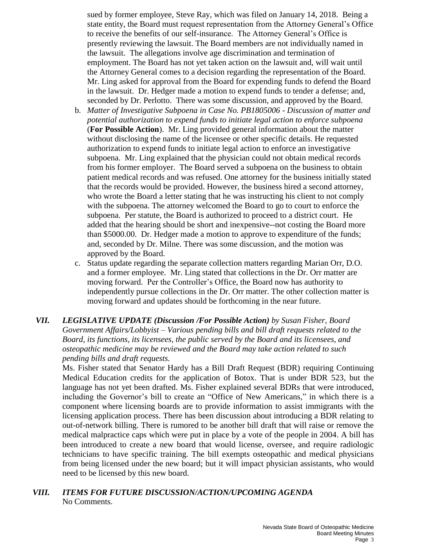sued by former employee, Steve Ray, which was filed on January 14, 2018. Being a state entity, the Board must request representation from the Attorney General's Office to receive the benefits of our self-insurance. The Attorney General's Office is presently reviewing the lawsuit. The Board members are not individually named in the lawsuit. The allegations involve age discrimination and termination of employment. The Board has not yet taken action on the lawsuit and, will wait until the Attorney General comes to a decision regarding the representation of the Board. Mr. Ling asked for approval from the Board for expending funds to defend the Board in the lawsuit. Dr. Hedger made a motion to expend funds to tender a defense; and, seconded by Dr. Perlotto. There was some discussion, and approved by the Board.

- b. *Matter of Investigative Subpoena in Case No. PB1805006 - Discussion of matter and potential authorization to expend funds to initiate legal action to enforce subpoena*  (**For Possible Action**). Mr. Ling provided general information about the matter without disclosing the name of the licensee or other specific details. He requested authorization to expend funds to initiate legal action to enforce an investigative subpoena. Mr. Ling explained that the physician could not obtain medical records from his former employer. The Board served a subpoena on the business to obtain patient medical records and was refused. One attorney for the business initially stated that the records would be provided. However, the business hired a second attorney, who wrote the Board a letter stating that he was instructing his client to not comply with the subpoena. The attorney welcomed the Board to go to court to enforce the subpoena. Per statute, the Board is authorized to proceed to a district court. He added that the hearing should be short and inexpensive--not costing the Board more than \$5000.00. Dr. Hedger made a motion to approve to expenditure of the funds; and, seconded by Dr. Milne. There was some discussion, and the motion was approved by the Board.
- c. Status update regarding the separate collection matters regarding Marian Orr, D.O. and a former employee. Mr. Ling stated that collections in the Dr. Orr matter are moving forward. Per the Controller's Office, the Board now has authority to independently pursue collections in the Dr. Orr matter. The other collection matter is moving forward and updates should be forthcoming in the near future.
- *VII. LEGISLATIVE UPDATE (Discussion /For Possible Action) by Susan Fisher, Board Government Affairs/Lobbyist – Various pending bills and bill draft requests related to the Board, its functions, its licensees, the public served by the Board and its licensees, and osteopathic medicine may be reviewed and the Board may take action related to such pending bills and draft requests.*

Ms. Fisher stated that Senator Hardy has a Bill Draft Request (BDR) requiring Continuing Medical Education credits for the application of Botox. That is under BDR 523, but the language has not yet been drafted. Ms. Fisher explained several BDRs that were introduced, including the Governor's bill to create an "Office of New Americans," in which there is a component where licensing boards are to provide information to assist immigrants with the licensing application process. There has been discussion about introducing a BDR relating to out-of-network billing. There is rumored to be another bill draft that will raise or remove the medical malpractice caps which were put in place by a vote of the people in 2004. A bill has been introduced to create a new board that would license, oversee, and require radiologic technicians to have specific training. The bill exempts osteopathic and medical physicians from being licensed under the new board; but it will impact physician assistants, who would need to be licensed by this new board.

#### *VIII. ITEMS FOR FUTURE DISCUSSION/ACTION/UPCOMING AGENDA* No Comments.